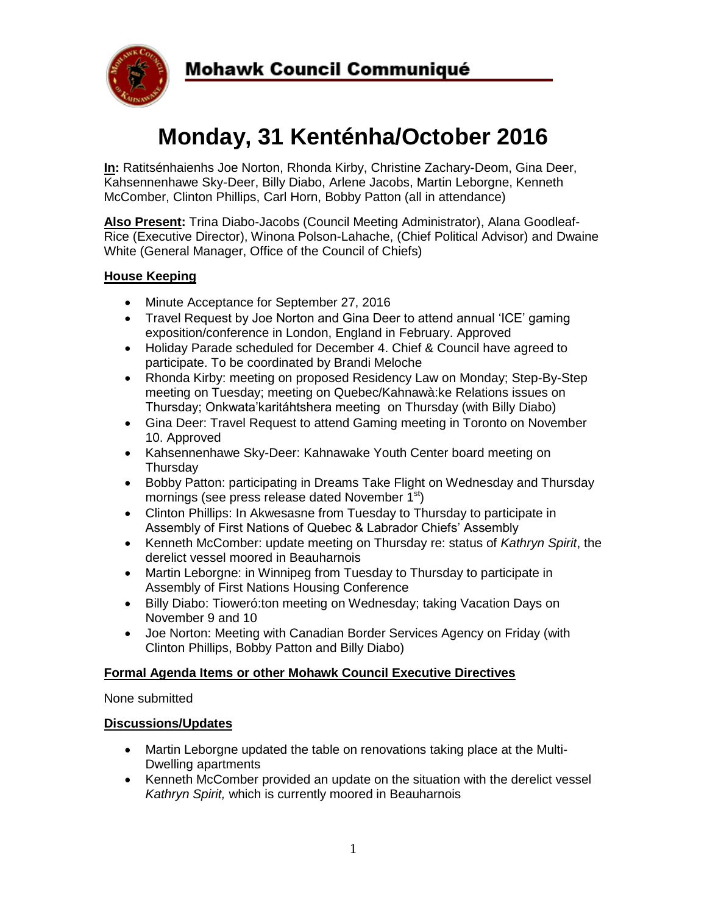

# **Monday, 31 Kenténha/October 2016**

**In:** Ratitsénhaienhs Joe Norton, Rhonda Kirby, Christine Zachary-Deom, Gina Deer, Kahsennenhawe Sky-Deer, Billy Diabo, Arlene Jacobs, Martin Leborgne, Kenneth McComber, Clinton Phillips, Carl Horn, Bobby Patton (all in attendance)

**Also Present:** Trina Diabo-Jacobs (Council Meeting Administrator), Alana Goodleaf-Rice (Executive Director), Winona Polson-Lahache, (Chief Political Advisor) and Dwaine White (General Manager, Office of the Council of Chiefs)

### **House Keeping**

- Minute Acceptance for September 27, 2016
- Travel Request by Joe Norton and Gina Deer to attend annual 'ICE' gaming exposition/conference in London, England in February. Approved
- Holiday Parade scheduled for December 4. Chief & Council have agreed to participate. To be coordinated by Brandi Meloche
- Rhonda Kirby: meeting on proposed Residency Law on Monday; Step-By-Step meeting on Tuesday; meeting on Quebec/Kahnawà:ke Relations issues on Thursday; Onkwata'karitáhtshera meeting on Thursday (with Billy Diabo)
- Gina Deer: Travel Request to attend Gaming meeting in Toronto on November 10. Approved
- Kahsennenhawe Sky-Deer: Kahnawake Youth Center board meeting on Thursday
- Bobby Patton: participating in Dreams Take Flight on Wednesday and Thursday mornings (see press release dated November 1<sup>st</sup>)
- Clinton Phillips: In Akwesasne from Tuesday to Thursday to participate in Assembly of First Nations of Quebec & Labrador Chiefs' Assembly
- Kenneth McComber: update meeting on Thursday re: status of *Kathryn Spirit*, the derelict vessel moored in Beauharnois
- Martin Leborgne: in Winnipeg from Tuesday to Thursday to participate in Assembly of First Nations Housing Conference
- Billy Diabo: Tioweró:ton meeting on Wednesday; taking Vacation Days on November 9 and 10
- Joe Norton: Meeting with Canadian Border Services Agency on Friday (with Clinton Phillips, Bobby Patton and Billy Diabo)

#### **Formal Agenda Items or other Mohawk Council Executive Directives**

None submitted

#### **Discussions/Updates**

- Martin Leborgne updated the table on renovations taking place at the Multi-Dwelling apartments
- Kenneth McComber provided an update on the situation with the derelict vessel *Kathryn Spirit,* which is currently moored in Beauharnois